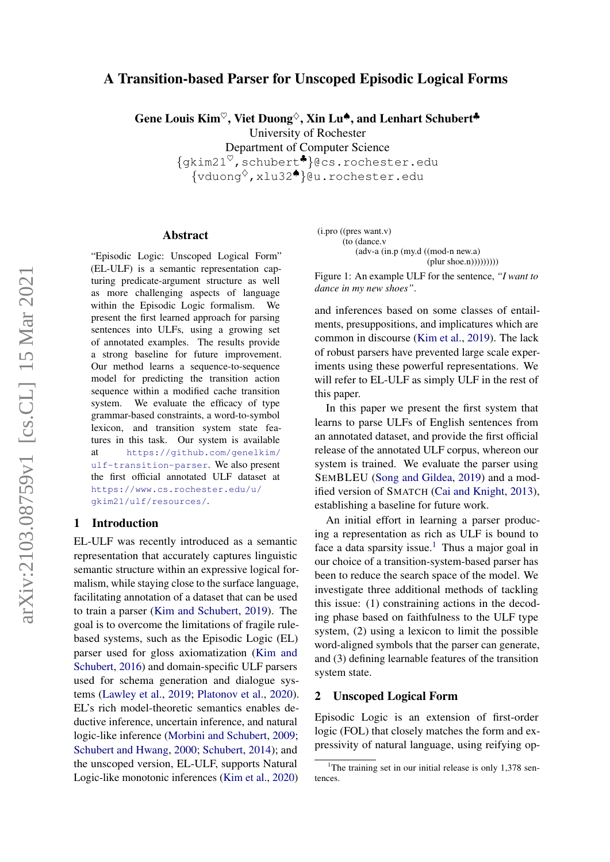# <span id="page-0-2"></span>A Transition-based Parser for Unscoped Episodic Logical Forms

Gene Louis Kim<sup> $\heartsuit$ </sup>, Viet Duong $\Diamond$ , Xin Lu $\spadesuit$ , and Lenhart Schubert $\clubsuit$ 

University of Rochester

Department of Computer Science {gkim21♥,schubert♣}@cs.rochester.edu {vduong♦,xlu32♠}@u.rochester.edu

### Abstract

"Episodic Logic: Unscoped Logical Form" (EL-ULF) is a semantic representation capturing predicate-argument structure as well as more challenging aspects of language within the Episodic Logic formalism. We present the first learned approach for parsing sentences into ULFs, using a growing set of annotated examples. The results provide a strong baseline for future improvement. Our method learns a sequence-to-sequence model for predicting the transition action sequence within a modified cache transition system. We evaluate the efficacy of type grammar-based constraints, a word-to-symbol lexicon, and transition system state features in this task. Our system is available at [https://github.com/genelkim/](https://github.com/genelkim/ulf-transition-parser) [ulf-transition-parser](https://github.com/genelkim/ulf-transition-parser). We also present the first official annotated ULF dataset at [https://www.cs.rochester.edu/u/](https://www.cs.rochester.edu/u/gkim21/ulf/resources/) [gkim21/ulf/resources/](https://www.cs.rochester.edu/u/gkim21/ulf/resources/).

## 1 Introduction

EL-ULF was recently introduced as a semantic representation that accurately captures linguistic semantic structure within an expressive logical formalism, while staying close to the surface language, facilitating annotation of a dataset that can be used to train a parser [\(Kim and Schubert,](#page-8-0) [2019\)](#page-8-0). The goal is to overcome the limitations of fragile rulebased systems, such as the Episodic Logic (EL) parser used for gloss axiomatization [\(Kim and](#page-8-1) [Schubert,](#page-8-1) [2016\)](#page-8-1) and domain-specific ULF parsers used for schema generation and dialogue systems [\(Lawley et al.,](#page-8-2) [2019;](#page-8-2) [Platonov et al.,](#page-9-0) [2020\)](#page-9-0). EL's rich model-theoretic semantics enables deductive inference, uncertain inference, and natural logic-like inference [\(Morbini and Schubert,](#page-9-1) [2009;](#page-9-1) [Schubert and Hwang,](#page-9-2) [2000;](#page-9-2) [Schubert,](#page-9-3) [2014\)](#page-9-3); and the unscoped version, EL-ULF, supports Natural Logic-like monotonic inferences [\(Kim et al.,](#page-8-3) [2020\)](#page-8-3)

<span id="page-0-1"></span>(i.pro ((pres want.v) (to (dance.v (adv-a (in.p (my.d ((mod-n new.a) (plur shoe.n))))))))))))

Figure 1: An example ULF for the sentence, *"I want to dance in my new shoes"*.

and inferences based on some classes of entailments, presuppositions, and implicatures which are common in discourse [\(Kim et al.,](#page-8-4) [2019\)](#page-8-4). The lack of robust parsers have prevented large scale experiments using these powerful representations. We will refer to EL-ULF as simply ULF in the rest of this paper.

In this paper we present the first system that learns to parse ULFs of English sentences from an annotated dataset, and provide the first official release of the annotated ULF corpus, whereon our system is trained. We evaluate the parser using SEMBLEU [\(Song and Gildea,](#page-9-4) [2019\)](#page-9-4) and a modified version of SMATCH [\(Cai and Knight,](#page-8-5) [2013\)](#page-8-5), establishing a baseline for future work.

An initial effort in learning a parser producing a representation as rich as ULF is bound to face a data sparsity issue.<sup>[1](#page-0-0)</sup> Thus a major goal in our choice of a transition-system-based parser has been to reduce the search space of the model. We investigate three additional methods of tackling this issue: (1) constraining actions in the decoding phase based on faithfulness to the ULF type system, (2) using a lexicon to limit the possible word-aligned symbols that the parser can generate, and (3) defining learnable features of the transition system state.

#### 2 Unscoped Logical Form

Episodic Logic is an extension of first-order logic (FOL) that closely matches the form and expressivity of natural language, using reifying op-

<span id="page-0-0"></span><sup>&</sup>lt;sup>1</sup>The training set in our initial release is only 1,378 sentences.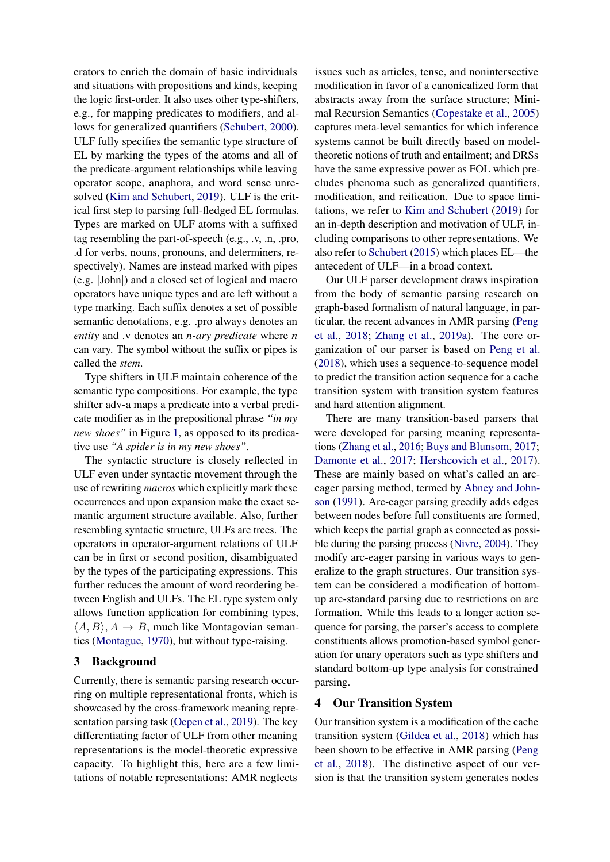erators to enrich the domain of basic individuals and situations with propositions and kinds, keeping the logic first-order. It also uses other type-shifters, e.g., for mapping predicates to modifiers, and allows for generalized quantifiers [\(Schubert,](#page-9-5) [2000\)](#page-9-5). ULF fully specifies the semantic type structure of EL by marking the types of the atoms and all of the predicate-argument relationships while leaving operator scope, anaphora, and word sense unresolved [\(Kim and Schubert,](#page-8-0) [2019\)](#page-8-0). ULF is the critical first step to parsing full-fledged EL formulas. Types are marked on ULF atoms with a suffixed tag resembling the part-of-speech (e.g., .v, .n, .pro, .d for verbs, nouns, pronouns, and determiners, respectively). Names are instead marked with pipes (e.g. |John|) and a closed set of logical and macro operators have unique types and are left without a type marking. Each suffix denotes a set of possible semantic denotations, e.g. .pro always denotes an *entity* and .v denotes an *n-ary predicate* where *n* can vary. The symbol without the suffix or pipes is called the *stem*.

Type shifters in ULF maintain coherence of the semantic type compositions. For example, the type shifter adv-a maps a predicate into a verbal predicate modifier as in the prepositional phrase *"in my new shoes"* in Figure [1,](#page-0-1) as opposed to its predicative use *"A spider is in my new shoes"*.

The syntactic structure is closely reflected in ULF even under syntactic movement through the use of rewriting *macros* which explicitly mark these occurrences and upon expansion make the exact semantic argument structure available. Also, further resembling syntactic structure, ULFs are trees. The operators in operator-argument relations of ULF can be in first or second position, disambiguated by the types of the participating expressions. This further reduces the amount of word reordering between English and ULFs. The EL type system only allows function application for combining types,  $\langle A, B \rangle$ ,  $A \rightarrow B$ , much like Montagovian semantics [\(Montague,](#page-9-6) [1970\)](#page-9-6), but without type-raising.

#### 3 Background

Currently, there is semantic parsing research occurring on multiple representational fronts, which is showcased by the cross-framework meaning representation parsing task [\(Oepen et al.,](#page-9-7) [2019\)](#page-9-7). The key differentiating factor of ULF from other meaning representations is the model-theoretic expressive capacity. To highlight this, here are a few limitations of notable representations: AMR neglects

issues such as articles, tense, and nonintersective modification in favor of a canonicalized form that abstracts away from the surface structure; Minimal Recursion Semantics [\(Copestake et al.,](#page-8-6) [2005\)](#page-8-6) captures meta-level semantics for which inference systems cannot be built directly based on modeltheoretic notions of truth and entailment; and DRSs have the same expressive power as FOL which precludes phenoma such as generalized quantifiers, modification, and reification. Due to space limitations, we refer to [Kim and Schubert](#page-8-0) [\(2019\)](#page-8-0) for an in-depth description and motivation of ULF, including comparisons to other representations. We also refer to [Schubert](#page-9-8) [\(2015\)](#page-9-8) which places EL—the antecedent of ULF—in a broad context.

Our ULF parser development draws inspiration from the body of semantic parsing research on graph-based formalism of natural language, in particular, the recent advances in AMR parsing [\(Peng](#page-9-9) [et al.,](#page-9-9) [2018;](#page-9-9) [Zhang et al.,](#page-9-10) [2019a\)](#page-9-10). The core organization of our parser is based on [Peng et al.](#page-9-9) [\(2018\)](#page-9-9), which uses a sequence-to-sequence model to predict the transition action sequence for a cache transition system with transition system features and hard attention alignment.

There are many transition-based parsers that were developed for parsing meaning representations [\(Zhang et al.,](#page-9-11) [2016;](#page-9-11) [Buys and Blunsom,](#page-8-7) [2017;](#page-8-7) [Damonte et al.,](#page-8-8) [2017;](#page-8-8) [Hershcovich et al.,](#page-8-9) [2017\)](#page-8-9). These are mainly based on what's called an arceager parsing method, termed by [Abney and John](#page-7-0)[son](#page-7-0) [\(1991\)](#page-7-0). Arc-eager parsing greedily adds edges between nodes before full constituents are formed, which keeps the partial graph as connected as possible during the parsing process [\(Nivre,](#page-9-12) [2004\)](#page-9-12). They modify arc-eager parsing in various ways to generalize to the graph structures. Our transition system can be considered a modification of bottomup arc-standard parsing due to restrictions on arc formation. While this leads to a longer action sequence for parsing, the parser's access to complete constituents allows promotion-based symbol generation for unary operators such as type shifters and standard bottom-up type analysis for constrained parsing.

### 4 Our Transition System

Our transition system is a modification of the cache transition system [\(Gildea et al.,](#page-8-10) [2018\)](#page-8-10) which has been shown to be effective in AMR parsing [\(Peng](#page-9-9) [et al.,](#page-9-9) [2018\)](#page-9-9). The distinctive aspect of our version is that the transition system generates nodes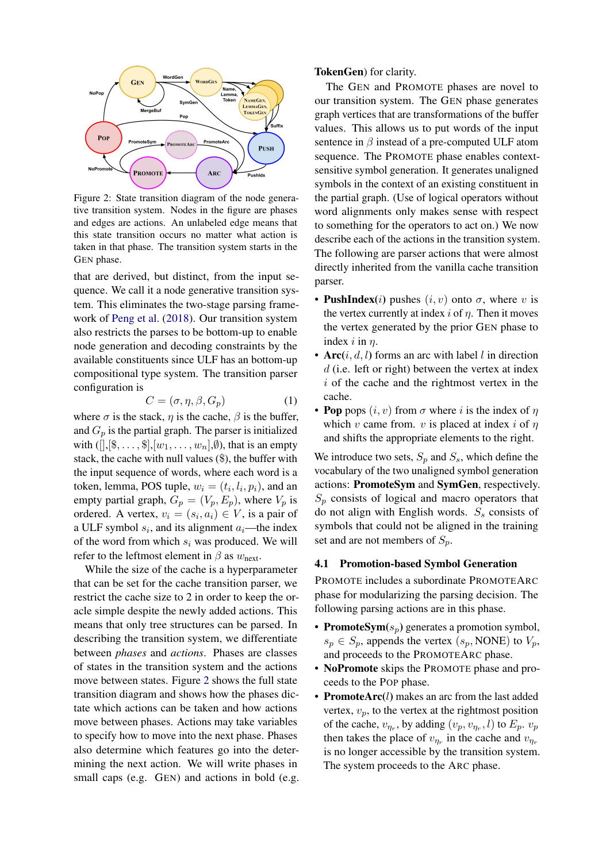<span id="page-2-0"></span>

Figure 2: State transition diagram of the node generative transition system. Nodes in the figure are phases and edges are actions. An unlabeled edge means that this state transition occurs no matter what action is taken in that phase. The transition system starts in the GEN phase.

that are derived, but distinct, from the input sequence. We call it a node generative transition system. This eliminates the two-stage parsing framework of [Peng et al.](#page-9-9) [\(2018\)](#page-9-9). Our transition system also restricts the parses to be bottom-up to enable node generation and decoding constraints by the available constituents since ULF has an bottom-up compositional type system. The transition parser configuration is

$$
C = (\sigma, \eta, \beta, G_p) \tag{1}
$$

where  $\sigma$  is the stack,  $\eta$  is the cache,  $\beta$  is the buffer, and  $G_p$  is the partial graph. The parser is initialized with  $($ [[,[\$, . . . , \$],[ $w_1, \ldots, w_n$ ], $\emptyset$ ), that is an empty stack, the cache with null values (\$), the buffer with the input sequence of words, where each word is a token, lemma, POS tuple,  $w_i = (t_i, l_i, p_i)$ , and an empty partial graph,  $G_p = (V_p, E_p)$ , where  $V_p$  is ordered. A vertex,  $v_i = (s_i, a_i) \in V$ , is a pair of a ULF symbol  $s_i$ , and its alignment  $a_i$ —the index of the word from which  $s_i$  was produced. We will refer to the leftmost element in  $\beta$  as  $w_{\text{next}}$ .

While the size of the cache is a hyperparameter that can be set for the cache transition parser, we restrict the cache size to 2 in order to keep the oracle simple despite the newly added actions. This means that only tree structures can be parsed. In describing the transition system, we differentiate between *phases* and *actions*. Phases are classes of states in the transition system and the actions move between states. Figure [2](#page-2-0) shows the full state transition diagram and shows how the phases dictate which actions can be taken and how actions move between phases. Actions may take variables to specify how to move into the next phase. Phases also determine which features go into the determining the next action. We will write phases in small caps (e.g. GEN) and actions in bold (e.g.

#### TokenGen) for clarity.

The GEN and PROMOTE phases are novel to our transition system. The GEN phase generates graph vertices that are transformations of the buffer values. This allows us to put words of the input sentence in  $\beta$  instead of a pre-computed ULF atom sequence. The PROMOTE phase enables contextsensitive symbol generation. It generates unaligned symbols in the context of an existing constituent in the partial graph. (Use of logical operators without word alignments only makes sense with respect to something for the operators to act on.) We now describe each of the actions in the transition system. The following are parser actions that were almost directly inherited from the vanilla cache transition parser.

- **PushIndex**(*i*) pushes  $(i, v)$  onto  $\sigma$ , where v is the vertex currently at index i of  $\eta$ . Then it moves the vertex generated by the prior GEN phase to index i in  $\eta$ .
- Arc $(i, d, l)$  forms an arc with label l in direction  $d$  (i.e. left or right) between the vertex at index  $i$  of the cache and the rightmost vertex in the cache.
- Pop pops  $(i, v)$  from  $\sigma$  where i is the index of  $\eta$ which v came from. v is placed at index i of  $\eta$ and shifts the appropriate elements to the right.

We introduce two sets,  $S_p$  and  $S_s$ , which define the vocabulary of the two unaligned symbol generation actions: PromoteSym and SymGen, respectively.  $S_n$  consists of logical and macro operators that do not align with English words.  $S<sub>s</sub>$  consists of symbols that could not be aligned in the training set and are not members of  $S_p$ .

#### 4.1 Promotion-based Symbol Generation

PROMOTE includes a subordinate PROMOTEARC phase for modularizing the parsing decision. The following parsing actions are in this phase.

- **PromoteSym** $(s_p)$  generates a promotion symbol,  $s_p \in S_p$ , appends the vertex  $(s_p, \text{NONE})$  to  $V_p$ , and proceeds to the PROMOTEARC phase.
- **NoPromote** skips the PROMOTE phase and proceeds to the POP phase.
- PromoteArc(l) makes an arc from the last added vertex,  $v_p$ , to the vertex at the rightmost position of the cache,  $v_{\eta_r}$ , by adding  $(v_p, v_{\eta_r}, l)$  to  $E_p$ .  $v_p$ then takes the place of  $v_{\eta_r}$  in the cache and  $v_{\eta_r}$ is no longer accessible by the transition system. The system proceeds to the ARC phase.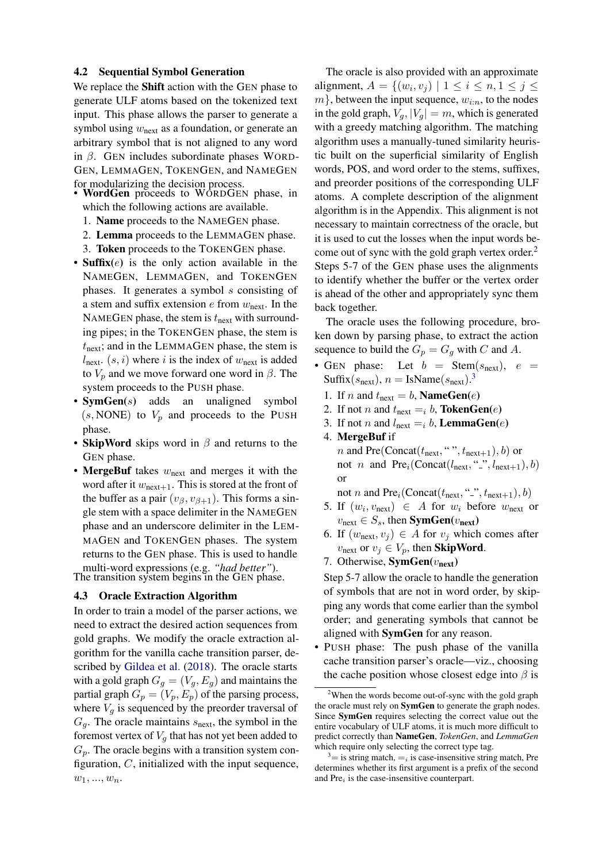#### 4.2 Sequential Symbol Generation

We replace the Shift action with the GEN phase to generate ULF atoms based on the tokenized text input. This phase allows the parser to generate a symbol using  $w_{\text{next}}$  as a foundation, or generate an arbitrary symbol that is not aligned to any word in  $\beta$ . GEN includes subordinate phases WORD-GEN, LEMMAGEN, TOKENGEN, and NAMEGEN for modularizing the decision process.

- WordGen proceeds to WORDGEN phase, in which the following actions are available.
	- 1. Name proceeds to the NAMEGEN phase.
	- 2. Lemma proceeds to the LEMMAGEN phase.
	- 3. Token proceeds to the TOKENGEN phase.
- Suffix $(e)$  is the only action available in the NAMEGEN, LEMMAGEN, and TOKENGEN phases. It generates a symbol s consisting of a stem and suffix extension  $e$  from  $w_{\text{next}}$ . In the NAMEGEN phase, the stem is  $t_{\text{next}}$  with surrounding pipes; in the TOKENGEN phase, the stem is  $t_{\text{next}}$ ; and in the LEMMAGEN phase, the stem is  $l_{\text{next}}(s, i)$  where i is the index of  $w_{\text{next}}$  is added to  $V_p$  and we move forward one word in  $\beta$ . The system proceeds to the PUSH phase.
- **SymGen**(s) adds an unaligned symbol  $(s, \text{NONE})$  to  $V_p$  and proceeds to the PUSH phase.
- SkipWord skips word in  $\beta$  and returns to the GEN phase.
- MergeBuf takes  $w_{\text{next}}$  and merges it with the word after it  $w_{\text{next}+1}$ . This is stored at the front of the buffer as a pair  $(v_{\beta}, v_{\beta+1})$ . This forms a single stem with a space delimiter in the NAMEGEN phase and an underscore delimiter in the LEM-MAGEN and TOKENGEN phases. The system returns to the GEN phase. This is used to handle multi-word expressions (e.g. *"had better"*).

The transition system begins in the GEN phase.

#### 4.3 Oracle Extraction Algorithm

In order to train a model of the parser actions, we need to extract the desired action sequences from gold graphs. We modify the oracle extraction algorithm for the vanilla cache transition parser, described by [Gildea et al.](#page-8-10) [\(2018\)](#page-8-10). The oracle starts with a gold graph  $G_q = (V_q, E_q)$  and maintains the partial graph  $G_p = (V_p, E_p)$  of the parsing process, where  $V_q$  is sequenced by the preorder traversal of  $G_q$ . The oracle maintains  $s_{\text{next}}$ , the symbol in the foremost vertex of  $V_q$  that has not yet been added to  $G_p$ . The oracle begins with a transition system configuration,  $C$ , initialized with the input sequence,  $w_1, ..., w_n$ .

The oracle is also provided with an approximate alignment,  $A = \{(w_i, v_j) \mid 1 \leq i \leq n, 1 \leq j \leq n\}$  $m$ , between the input sequence,  $w_{i:n}$ , to the nodes in the gold graph,  $V_q$ ,  $|V_q| = m$ , which is generated with a greedy matching algorithm. The matching algorithm uses a manually-tuned similarity heuristic built on the superficial similarity of English words, POS, and word order to the stems, suffixes, and preorder positions of the corresponding ULF atoms. A complete description of the alignment algorithm is in the Appendix. This alignment is not necessary to maintain correctness of the oracle, but it is used to cut the losses when the input words become out of sync with the gold graph vertex order. $<sup>2</sup>$  $<sup>2</sup>$  $<sup>2</sup>$ </sup> Steps 5-7 of the GEN phase uses the alignments to identify whether the buffer or the vertex order is ahead of the other and appropriately sync them back together.

The oracle uses the following procedure, broken down by parsing phase, to extract the action sequence to build the  $G_p = G_g$  with C and A.

- GEN phase: Let  $b = \text{Stem}(s_{\text{next}}), e =$ Suffix( $s_{\text{next}}$ ),  $n = \text{IsName}(s_{\text{next}})$ .<sup>[3](#page-3-1)</sup>
	- 1. If *n* and  $t_{\text{next}} = b$ , **NameGen**(*e*)
	- 2. If not *n* and  $t_{\text{next}} = i b$ , **TokenGen**(*e*)
	- 3. If not *n* and  $l_{\text{next}} = i b$ , **LemmaGen**(*e*)
	- 4. MergeBuf if *n* and Pre(Concat( $t_{\text{next}}$ , ",  $t_{\text{next}+1}$ ), b) or

not *n* and  $Pre_i(Concat(l_{next}, \dots, l_{next+1}), b)$ or

not  $n$  and  $Pre_i(Concat(t_{next}, \lq'_{-}, t_{next+1}), b)$ 

- 5. If  $(w_i, v_{\text{next}}) \in A$  for  $w_i$  before  $w_{\text{next}}$  or  $v_{\text{next}} \in S_s$ , then **SymGen**( $v_{\text{next}}$ )
- 6. If  $(w_{\text{next}}, v_i) \in A$  for  $v_i$  which comes after  $v_{\text{next}}$  or  $v_j \in V_p$ , then **SkipWord**.
- 7. Otherwise,  $SymGen(v_{next})$

Step 5-7 allow the oracle to handle the generation of symbols that are not in word order, by skipping any words that come earlier than the symbol order; and generating symbols that cannot be aligned with SymGen for any reason.

• PUSH phase: The push phase of the vanilla cache transition parser's oracle—viz., choosing the cache position whose closest edge into  $\beta$  is

<span id="page-3-0"></span><sup>&</sup>lt;sup>2</sup>When the words become out-of-sync with the gold graph the oracle must rely on SymGen to generate the graph nodes. Since SymGen requires selecting the correct value out the entire vocabulary of ULF atoms, it is much more difficult to predict correctly than NameGen, *TokenGen*, and *LemmaGen* which require only selecting the correct type tag.

<span id="page-3-1"></span> $3\equiv$  is string match,  $\equiv$ <sub>i</sub> is case-insensitive string match, Pre determines whether its first argument is a prefix of the second and  $Pre<sub>i</sub>$  is the case-insensitive counterpart.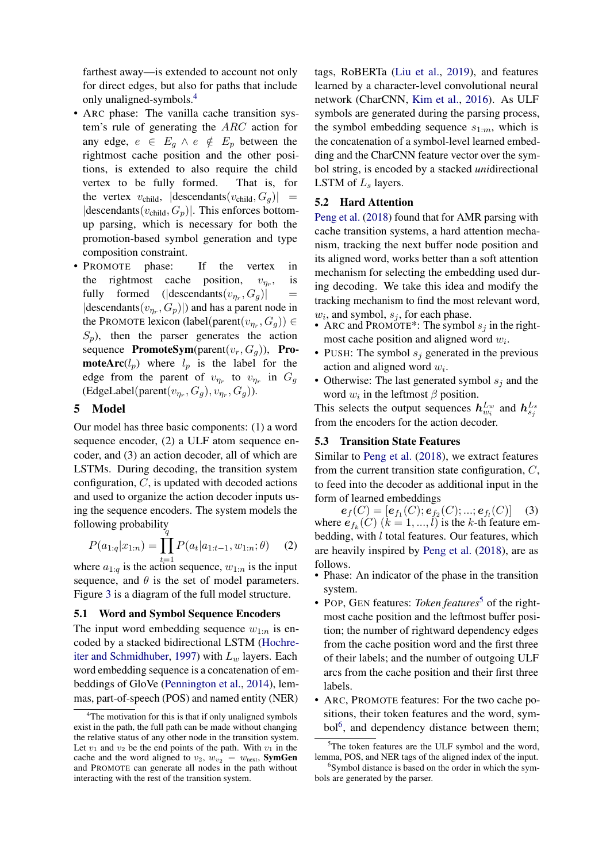farthest away—is extended to account not only for direct edges, but also for paths that include only unaligned-symbols.[4](#page-4-0)

- ARC phase: The vanilla cache transition system's rule of generating the ARC action for any edge,  $e \in E_q \wedge e \notin E_p$  between the rightmost cache position and the other positions, is extended to also require the child vertex to be fully formed. That is, for the vertex  $v_{child}$ ,  $|descendants(v_{child}, G_g)|$  =  $|$ descendants $(v_{child}, G_p)|$ . This enforces bottomup parsing, which is necessary for both the promotion-based symbol generation and type composition constraint.
- PROMOTE phase: If the vertex in the rightmost cache position,  $v_{n_r}$ , , is fully formed ( $|$ descendants $(v_{\eta_r}, G_g)|$  =  $|$ descendants $(v_{\eta_r}, G_p)|$  and has a parent node in the PROMOTE lexicon (label(parent $(v_{\eta_r}, G_g)$ )  $\in$  $S_p$ ), then the parser generates the action sequence PromoteSym(parent( $v_r$ ,  $G_q$ )), Pro**moteArc**( $l_p$ ) where  $l_p$  is the label for the edge from the parent of  $v_{\eta_r}$  to  $v_{\eta_r}$  in  $G_g$ (EdgeLabel(parent( $v_{\eta_r}, G_g$ ),  $v_{\eta_r}, G_g$ )).

#### 5 Model

Our model has three basic components: (1) a word sequence encoder, (2) a ULF atom sequence encoder, and (3) an action decoder, all of which are LSTMs. During decoding, the transition system configuration,  $C$ , is updated with decoded actions and used to organize the action decoder inputs using the sequence encoders. The system models the following probability

<span id="page-4-3"></span>
$$
P(a_{1:q}|x_{1:n}) = \prod_{t=1}^{n} P(a_t|a_{1:t-1}, w_{1:n}; \theta)
$$
 (2)

where  $a_{1:q}$  is the action sequence,  $w_{1:n}$  is the input sequence, and  $\theta$  is the set of model parameters. Figure [3](#page-5-0) is a diagram of the full model structure.

#### 5.1 Word and Symbol Sequence Encoders

The input word embedding sequence  $w_{1:n}$  is encoded by a stacked bidirectional LSTM [\(Hochre](#page-8-11)[iter and Schmidhuber,](#page-8-11) [1997\)](#page-8-11) with  $L_w$  layers. Each word embedding sequence is a concatenation of embeddings of GloVe [\(Pennington et al.,](#page-9-13) [2014\)](#page-9-13), lemmas, part-of-speech (POS) and named entity (NER)

tags, RoBERTa [\(Liu et al.,](#page-8-12) [2019\)](#page-8-12), and features learned by a character-level convolutional neural network (CharCNN, [Kim et al.,](#page-8-13) [2016\)](#page-8-13). As ULF symbols are generated during the parsing process, the symbol embedding sequence  $s_{1:m}$ , which is the concatenation of a symbol-level learned embedding and the CharCNN feature vector over the symbol string, is encoded by a stacked *uni*directional LSTM of  $L_s$  layers.

#### 5.2 Hard Attention

[Peng et al.](#page-9-9) [\(2018\)](#page-9-9) found that for AMR parsing with cache transition systems, a hard attention mechanism, tracking the next buffer node position and its aligned word, works better than a soft attention mechanism for selecting the embedding used during decoding. We take this idea and modify the tracking mechanism to find the most relevant word,  $w_i$ , and symbol,  $s_j$ , for each phase.

- ARC and PROMOTE\*: The symbol  $s_j$  in the rightmost cache position and aligned word  $w_i$ .
- PUSH: The symbol  $s_i$  generated in the previous action and aligned word  $w_i$ .
- Otherwise: The last generated symbol  $s_i$  and the word  $w_i$  in the leftmost  $\beta$  position.

This selects the output sequences  $h_{w_i}^{L_w}$  and  $h_{s_j}^{L_s}$ from the encoders for the action decoder.

## 5.3 Transition State Features

Similar to [Peng et al.](#page-9-9) [\(2018\)](#page-9-9), we extract features from the current transition state configuration,  $C$ , to feed into the decoder as additional input in the form of learned embeddings

 $e_f(C) = [e_{f_1}(C); e_{f_2}(C); ...; e_{f_l}(C)]$  (3) where  $e_{f_k}(C)$   $(k = 1, ..., l)$  is the k-th feature embedding, with l total features. Our features, which are heavily inspired by [Peng et al.](#page-9-9) [\(2018\)](#page-9-9), are as follows.

- Phase: An indicator of the phase in the transition system.
- POP, GEN features: *Token features*<sup>[5](#page-4-1)</sup> of the rightmost cache position and the leftmost buffer position; the number of rightward dependency edges from the cache position word and the first three of their labels; and the number of outgoing ULF arcs from the cache position and their first three labels.
- ARC, PROMOTE features: For the two cache positions, their token features and the word, sym-bol<sup>[6](#page-4-2)</sup>, and dependency distance between them;

<span id="page-4-0"></span><sup>&</sup>lt;sup>4</sup>The motivation for this is that if only unaligned symbols exist in the path, the full path can be made without changing the relative status of any other node in the transition system. Let  $v_1$  and  $v_2$  be the end points of the path. With  $v_1$  in the cache and the word aligned to  $v_2$ ,  $w_{v_2} = w_{\text{next}}$ , SymGen and PROMOTE can generate all nodes in the path without interacting with the rest of the transition system.

<span id="page-4-1"></span> $5$ The token features are the ULF symbol and the word, lemma, POS, and NER tags of the aligned index of the input.

<span id="page-4-2"></span><sup>&</sup>lt;sup>6</sup>Symbol distance is based on the order in which the symbols are generated by the parser.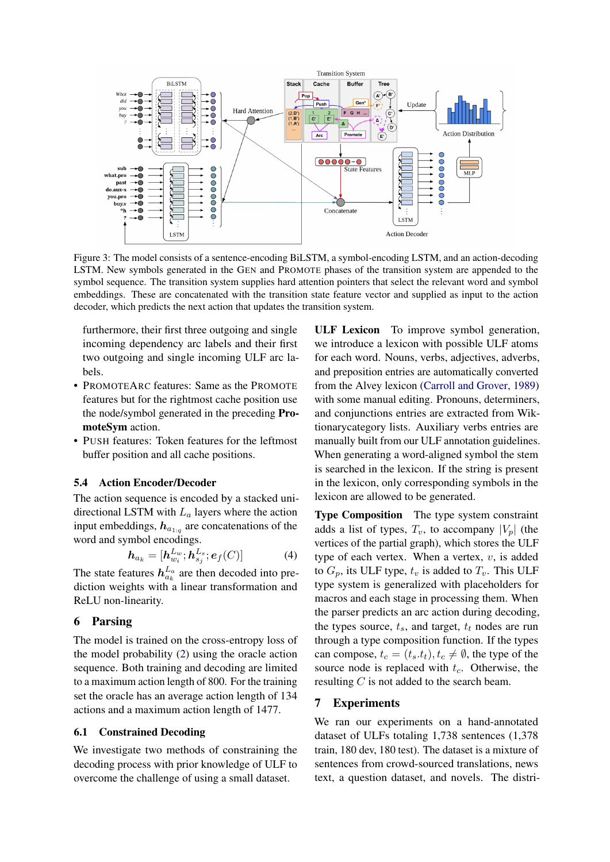<span id="page-5-0"></span>

Figure 3: The model consists of a sentence-encoding BiLSTM, a symbol-encoding LSTM, and an action-decoding LSTM. New symbols generated in the GEN and PROMOTE phases of the transition system are appended to the symbol sequence. The transition system supplies hard attention pointers that select the relevant word and symbol embeddings. These are concatenated with the transition state feature vector and supplied as input to the action decoder, which predicts the next action that updates the transition system.

furthermore, their first three outgoing and single incoming dependency arc labels and their first two outgoing and single incoming ULF arc labels.

- PROMOTEARC features: Same as the PROMOTE features but for the rightmost cache position use the node/symbol generated in the preceding PromoteSym action.
- PUSH features: Token features for the leftmost buffer position and all cache positions.

### 5.4 Action Encoder/Decoder

The action sequence is encoded by a stacked unidirectional LSTM with  $L_a$  layers where the action input embeddings,  $h_{a_{1}:q}$  are concatenations of the word and symbol encodings.

$$
\boldsymbol{h}_{a_k} = [\boldsymbol{h}_{w_i}^{Lw}; \boldsymbol{h}_{s_j}^{Ls}; \boldsymbol{e}_f(C)] \tag{4}
$$

The state features  $h_{a_k}^{L_a}$  are then decoded into prediction weights with a linear transformation and ReLU non-linearity.

### 6 Parsing

The model is trained on the cross-entropy loss of the model probability [\(2\)](#page-4-3) using the oracle action sequence. Both training and decoding are limited to a maximum action length of 800. For the training set the oracle has an average action length of 134 actions and a maximum action length of 1477.

#### 6.1 Constrained Decoding

We investigate two methods of constraining the decoding process with prior knowledge of ULF to overcome the challenge of using a small dataset.

ULF Lexicon To improve symbol generation, we introduce a lexicon with possible ULF atoms for each word. Nouns, verbs, adjectives, adverbs, and preposition entries are automatically converted from the Alvey lexicon [\(Carroll and Grover,](#page-8-14) [1989\)](#page-8-14) with some manual editing. Pronouns, determiners, and conjunctions entries are extracted from Wiktionarycategory lists. Auxiliary verbs entries are manually built from our ULF annotation guidelines. When generating a word-aligned symbol the stem is searched in the lexicon. If the string is present in the lexicon, only corresponding symbols in the lexicon are allowed to be generated.

Type Composition The type system constraint adds a list of types,  $T_v$ , to accompany  $|V_p|$  (the vertices of the partial graph), which stores the ULF type of each vertex. When a vertex,  $v$ , is added to  $G_p$ , its ULF type,  $t_v$  is added to  $T_v$ . This ULF type system is generalized with placeholders for macros and each stage in processing them. When the parser predicts an arc action during decoding, the types source,  $t_s$ , and target,  $t_t$  nodes are run through a type composition function. If the types can compose,  $t_c = (t_s.t_t), t_c \neq \emptyset$ , the type of the source node is replaced with  $t_c$ . Otherwise, the resulting C is not added to the search beam.

#### 7 Experiments

We ran our experiments on a hand-annotated dataset of ULFs totaling 1,738 sentences (1,378 train, 180 dev, 180 test). The dataset is a mixture of sentences from crowd-sourced translations, news text, a question dataset, and novels. The distri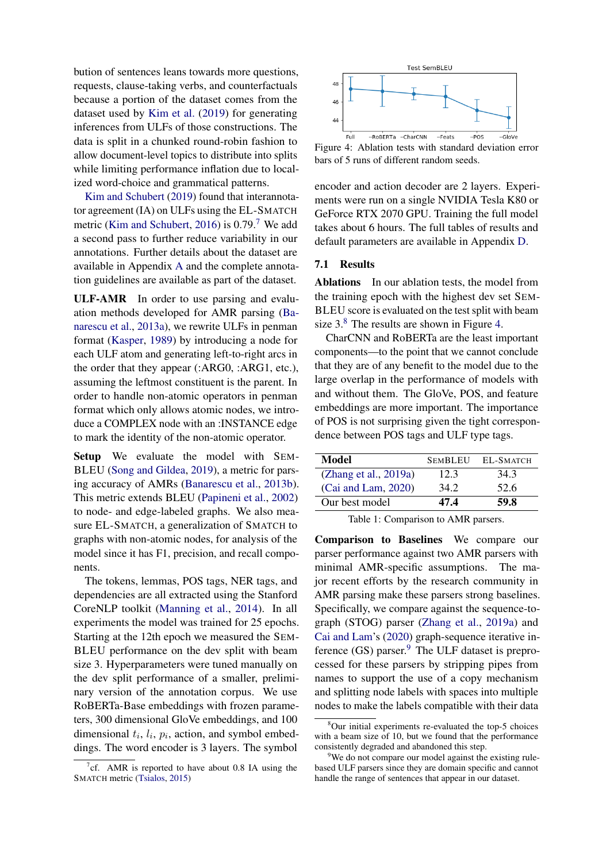bution of sentences leans towards more questions, requests, clause-taking verbs, and counterfactuals because a portion of the dataset comes from the dataset used by [Kim et al.](#page-8-4) [\(2019\)](#page-8-4) for generating inferences from ULFs of those constructions. The data is split in a chunked round-robin fashion to allow document-level topics to distribute into splits while limiting performance inflation due to localized word-choice and grammatical patterns.

[Kim and Schubert](#page-8-0) [\(2019\)](#page-8-0) found that interannotator agreement (IA) on ULFs using the EL-SMATCH metric [\(Kim and Schubert,](#page-8-1) [2016\)](#page-8-1) is  $0.79<sup>7</sup>$  $0.79<sup>7</sup>$  $0.79<sup>7</sup>$  We add a second pass to further reduce variability in our annotations. Further details about the dataset are available in Appendix [A](#page-10-0) and the complete annotation guidelines are available as part of the dataset.

ULF-AMR In order to use parsing and evaluation methods developed for AMR parsing [\(Ba](#page-8-15)[narescu et al.,](#page-8-15) [2013a\)](#page-8-15), we rewrite ULFs in penman format [\(Kasper,](#page-8-16) [1989\)](#page-8-16) by introducing a node for each ULF atom and generating left-to-right arcs in the order that they appear (:ARG0, :ARG1, etc.), assuming the leftmost constituent is the parent. In order to handle non-atomic operators in penman format which only allows atomic nodes, we introduce a COMPLEX node with an :INSTANCE edge to mark the identity of the non-atomic operator.

Setup We evaluate the model with SEM-BLEU [\(Song and Gildea,](#page-9-4) [2019\)](#page-9-4), a metric for parsing accuracy of AMRs [\(Banarescu et al.,](#page-8-17) [2013b\)](#page-8-17). This metric extends BLEU [\(Papineni et al.,](#page-9-14) [2002\)](#page-9-14) to node- and edge-labeled graphs. We also measure EL-SMATCH, a generalization of SMATCH to graphs with non-atomic nodes, for analysis of the model since it has F1, precision, and recall components.

The tokens, lemmas, POS tags, NER tags, and dependencies are all extracted using the Stanford CoreNLP toolkit [\(Manning et al.,](#page-9-15) [2014\)](#page-9-15). In all experiments the model was trained for 25 epochs. Starting at the 12th epoch we measured the SEM-BLEU performance on the dev split with beam size 3. Hyperparameters were tuned manually on the dev split performance of a smaller, preliminary version of the annotation corpus. We use RoBERTa-Base embeddings with frozen parameters, 300 dimensional GloVe embeddings, and 100 dimensional  $t_i$ ,  $l_i$ ,  $p_i$ , action, and symbol embeddings. The word encoder is 3 layers. The symbol

<span id="page-6-2"></span>

Figure 4: Ablation tests with standard deviation error bars of 5 runs of different random seeds.

encoder and action decoder are 2 layers. Experiments were run on a single NVIDIA Tesla K80 or GeForce RTX 2070 GPU. Training the full model takes about 6 hours. The full tables of results and default parameters are available in Appendix [D.](#page-12-0)

#### 7.1 Results

Ablations In our ablation tests, the model from the training epoch with the highest dev set SEM-BLEU score is evaluated on the test split with beam size  $3.8$  $3.8$  The results are shown in Figure [4.](#page-6-2)

CharCNN and RoBERTa are the least important components—to the point that we cannot conclude that they are of any benefit to the model due to the large overlap in the performance of models with and without them. The GloVe, POS, and feature embeddings are more important. The importance of POS is not surprising given the tight correspondence between POS tags and ULF type tags.

<span id="page-6-4"></span>

| Model                 | <b>SEMBLEU</b> | EL-SMATCH |
|-----------------------|----------------|-----------|
| (Zhang et al., 2019a) | 12.3           | 34.3      |
| (Cai and Lam, 2020)   | 34.2           | 52.6      |
| Our best model        | 47.4           | 59.8      |
|                       |                |           |

Table 1: Comparison to AMR parsers.

Comparison to Baselines We compare our parser performance against two AMR parsers with minimal AMR-specific assumptions. The major recent efforts by the research community in AMR parsing make these parsers strong baselines. Specifically, we compare against the sequence-tograph (STOG) parser [\(Zhang et al.,](#page-9-10) [2019a\)](#page-9-10) and [Cai and Lam'](#page-8-18)s [\(2020\)](#page-8-18) graph-sequence iterative inference  $(GS)$  parser.<sup>[9](#page-6-3)</sup> The ULF dataset is preprocessed for these parsers by stripping pipes from names to support the use of a copy mechanism and splitting node labels with spaces into multiple nodes to make the labels compatible with their data

<span id="page-6-0"></span><sup>&</sup>lt;sup>7</sup>cf. AMR is reported to have about 0.8 IA using the SMATCH metric [\(Tsialos,](#page-9-16) [2015\)](#page-9-16)

<span id="page-6-1"></span><sup>8</sup>Our initial experiments re-evaluated the top-5 choices with a beam size of 10, but we found that the performance consistently degraded and abandoned this step.

<span id="page-6-3"></span><sup>&</sup>lt;sup>9</sup>We do not compare our model against the existing rulebased ULF parsers since they are domain specific and cannot handle the range of sentences that appear in our dataset.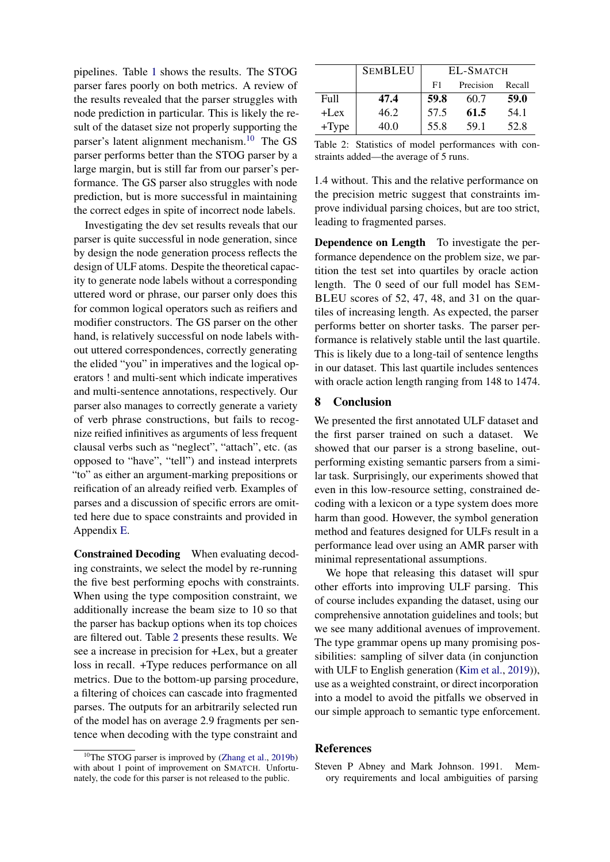pipelines. Table [1](#page-6-4) shows the results. The STOG parser fares poorly on both metrics. A review of the results revealed that the parser struggles with node prediction in particular. This is likely the result of the dataset size not properly supporting the parser's latent alignment mechanism.[10](#page-7-1) The GS parser performs better than the STOG parser by a large margin, but is still far from our parser's performance. The GS parser also struggles with node prediction, but is more successful in maintaining the correct edges in spite of incorrect node labels.

Investigating the dev set results reveals that our parser is quite successful in node generation, since by design the node generation process reflects the design of ULF atoms. Despite the theoretical capacity to generate node labels without a corresponding uttered word or phrase, our parser only does this for common logical operators such as reifiers and modifier constructors. The GS parser on the other hand, is relatively successful on node labels without uttered correspondences, correctly generating the elided "you" in imperatives and the logical operators ! and multi-sent which indicate imperatives and multi-sentence annotations, respectively. Our parser also manages to correctly generate a variety of verb phrase constructions, but fails to recognize reified infinitives as arguments of less frequent clausal verbs such as "neglect", "attach", etc. (as opposed to "have", "tell") and instead interprets "to" as either an argument-marking prepositions or reification of an already reified verb. Examples of parses and a discussion of specific errors are omitted here due to space constraints and provided in Appendix [E.](#page-12-1)

Constrained Decoding When evaluating decoding constraints, we select the model by re-running the five best performing epochs with constraints. When using the type composition constraint, we additionally increase the beam size to 10 so that the parser has backup options when its top choices are filtered out. Table [2](#page-7-2) presents these results. We see a increase in precision for +Lex, but a greater loss in recall. +Type reduces performance on all metrics. Due to the bottom-up parsing procedure, a filtering of choices can cascade into fragmented parses. The outputs for an arbitrarily selected run of the model has on average 2.9 fragments per sentence when decoding with the type constraint and

<span id="page-7-2"></span>

|         | <b>SEMBLEU</b> |      | EL-SMATCH |        |
|---------|----------------|------|-----------|--------|
|         |                | F1   | Precision | Recall |
| Full    | 47.4           | 59.8 | 60.7      | 59.0   |
| $+$ Lex | 46.2           | 57.5 | 61.5      | 54.1   |
| $+Type$ | 40.0           | 55.8 | 59.1      | 52.8   |

Table 2: Statistics of model performances with constraints added—the average of 5 runs.

1.4 without. This and the relative performance on the precision metric suggest that constraints improve individual parsing choices, but are too strict, leading to fragmented parses.

Dependence on Length To investigate the performance dependence on the problem size, we partition the test set into quartiles by oracle action length. The 0 seed of our full model has SEM-BLEU scores of 52, 47, 48, and 31 on the quartiles of increasing length. As expected, the parser performs better on shorter tasks. The parser performance is relatively stable until the last quartile. This is likely due to a long-tail of sentence lengths in our dataset. This last quartile includes sentences with oracle action length ranging from 148 to 1474.

#### 8 Conclusion

We presented the first annotated ULF dataset and the first parser trained on such a dataset. We showed that our parser is a strong baseline, outperforming existing semantic parsers from a similar task. Surprisingly, our experiments showed that even in this low-resource setting, constrained decoding with a lexicon or a type system does more harm than good. However, the symbol generation method and features designed for ULFs result in a performance lead over using an AMR parser with minimal representational assumptions.

We hope that releasing this dataset will spur other efforts into improving ULF parsing. This of course includes expanding the dataset, using our comprehensive annotation guidelines and tools; but we see many additional avenues of improvement. The type grammar opens up many promising possibilities: sampling of silver data (in conjunction with ULF to English generation [\(Kim et al.,](#page-8-4) [2019\)](#page-8-4)), use as a weighted constraint, or direct incorporation into a model to avoid the pitfalls we observed in our simple approach to semantic type enforcement.

#### References

<span id="page-7-0"></span>Steven P Abney and Mark Johnson. 1991. Memory requirements and local ambiguities of parsing

<span id="page-7-1"></span> $10$ The STOG parser is improved by [\(Zhang et al.,](#page-9-17) [2019b\)](#page-9-17) with about 1 point of improvement on SMATCH. Unfortunately, the code for this parser is not released to the public.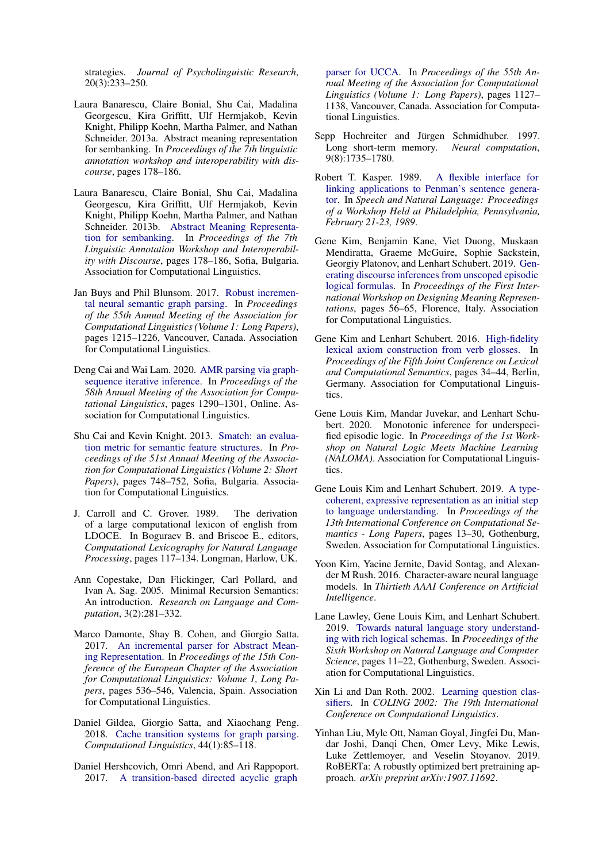strategies. *Journal of Psycholinguistic Research*, 20(3):233–250.

- <span id="page-8-15"></span>Laura Banarescu, Claire Bonial, Shu Cai, Madalina Georgescu, Kira Griffitt, Ulf Hermjakob, Kevin Knight, Philipp Koehn, Martha Palmer, and Nathan Schneider. 2013a. Abstract meaning representation for sembanking. In *Proceedings of the 7th linguistic annotation workshop and interoperability with discourse*, pages 178–186.
- <span id="page-8-17"></span>Laura Banarescu, Claire Bonial, Shu Cai, Madalina Georgescu, Kira Griffitt, Ulf Hermjakob, Kevin Knight, Philipp Koehn, Martha Palmer, and Nathan Schneider. 2013b. [Abstract Meaning Representa](https://www.aclweb.org/anthology/W13-2322)[tion for sembanking.](https://www.aclweb.org/anthology/W13-2322) In *Proceedings of the 7th Linguistic Annotation Workshop and Interoperability with Discourse*, pages 178–186, Sofia, Bulgaria. Association for Computational Linguistics.
- <span id="page-8-7"></span>Jan Buys and Phil Blunsom. 2017. [Robust incremen](https://doi.org/10.18653/v1/P17-1112)[tal neural semantic graph parsing.](https://doi.org/10.18653/v1/P17-1112) In *Proceedings of the 55th Annual Meeting of the Association for Computational Linguistics (Volume 1: Long Papers)*, pages 1215–1226, Vancouver, Canada. Association for Computational Linguistics.
- <span id="page-8-18"></span>Deng Cai and Wai Lam. 2020. [AMR parsing via graph](https://doi.org/10.18653/v1/2020.acl-main.119)[sequence iterative inference.](https://doi.org/10.18653/v1/2020.acl-main.119) In *Proceedings of the 58th Annual Meeting of the Association for Computational Linguistics*, pages 1290–1301, Online. Association for Computational Linguistics.
- <span id="page-8-5"></span>Shu Cai and Kevin Knight. 2013. [Smatch: an evalua](https://www.aclweb.org/anthology/P13-2131)[tion metric for semantic feature structures.](https://www.aclweb.org/anthology/P13-2131) In *Proceedings of the 51st Annual Meeting of the Association for Computational Linguistics (Volume 2: Short Papers)*, pages 748–752, Sofia, Bulgaria. Association for Computational Linguistics.
- <span id="page-8-14"></span>J. Carroll and C. Grover. 1989. The derivation of a large computational lexicon of english from LDOCE. In Boguraev B. and Briscoe E., editors, *Computational Lexicography for Natural Language Processing*, pages 117–134. Longman, Harlow, UK.
- <span id="page-8-6"></span>Ann Copestake, Dan Flickinger, Carl Pollard, and Ivan A. Sag. 2005. Minimal Recursion Semantics: An introduction. *Research on Language and Computation*, 3(2):281–332.
- <span id="page-8-8"></span>Marco Damonte, Shay B. Cohen, and Giorgio Satta. 2017. [An incremental parser for Abstract Mean](https://www.aclweb.org/anthology/E17-1051)[ing Representation.](https://www.aclweb.org/anthology/E17-1051) In *Proceedings of the 15th Conference of the European Chapter of the Association for Computational Linguistics: Volume 1, Long Papers*, pages 536–546, Valencia, Spain. Association for Computational Linguistics.
- <span id="page-8-10"></span>Daniel Gildea, Giorgio Satta, and Xiaochang Peng. 2018. [Cache transition systems for graph parsing.](https://doi.org/10.1162/COLI_a_00308) *Computational Linguistics*, 44(1):85–118.
- <span id="page-8-9"></span>Daniel Hershcovich, Omri Abend, and Ari Rappoport. 2017. [A transition-based directed acyclic graph](https://doi.org/10.18653/v1/P17-1104)

[parser for UCCA.](https://doi.org/10.18653/v1/P17-1104) In *Proceedings of the 55th Annual Meeting of the Association for Computational Linguistics (Volume 1: Long Papers)*, pages 1127– 1138, Vancouver, Canada. Association for Computational Linguistics.

- <span id="page-8-11"></span>Sepp Hochreiter and Jürgen Schmidhuber. 1997. Long short-term memory. *Neural computation*, 9(8):1735–1780.
- <span id="page-8-16"></span>Robert T. Kasper. 1989. [A flexible interface for](https://www.aclweb.org/anthology/H89-1022) [linking applications to Penman's sentence genera](https://www.aclweb.org/anthology/H89-1022)[tor.](https://www.aclweb.org/anthology/H89-1022) In *Speech and Natural Language: Proceedings of a Workshop Held at Philadelphia, Pennsylvania, February 21-23, 1989*.
- <span id="page-8-4"></span>Gene Kim, Benjamin Kane, Viet Duong, Muskaan Mendiratta, Graeme McGuire, Sophie Sackstein, Georgiy Platonov, and Lenhart Schubert. 2019. [Gen](https://doi.org/10.18653/v1/W19-3306)[erating discourse inferences from unscoped episodic](https://doi.org/10.18653/v1/W19-3306) [logical formulas.](https://doi.org/10.18653/v1/W19-3306) In *Proceedings of the First International Workshop on Designing Meaning Representations*, pages 56–65, Florence, Italy. Association for Computational Linguistics.
- <span id="page-8-1"></span>Gene Kim and Lenhart Schubert. 2016. [High-fidelity](https://doi.org/10.18653/v1/S16-2004) [lexical axiom construction from verb glosses.](https://doi.org/10.18653/v1/S16-2004) In *Proceedings of the Fifth Joint Conference on Lexical and Computational Semantics*, pages 34–44, Berlin, Germany. Association for Computational Linguistics.
- <span id="page-8-3"></span>Gene Louis Kim, Mandar Juvekar, and Lenhart Schubert. 2020. Monotonic inference for underspecified episodic logic. In *Proceedings of the 1st Workshop on Natural Logic Meets Machine Learning (NALOMA)*. Association for Computational Linguistics.
- <span id="page-8-0"></span>Gene Louis Kim and Lenhart Schubert. 2019. [A type](https://doi.org/10.18653/v1/W19-0402)[coherent, expressive representation as an initial step](https://doi.org/10.18653/v1/W19-0402) [to language understanding.](https://doi.org/10.18653/v1/W19-0402) In *Proceedings of the 13th International Conference on Computational Semantics - Long Papers*, pages 13–30, Gothenburg, Sweden. Association for Computational Linguistics.
- <span id="page-8-13"></span>Yoon Kim, Yacine Jernite, David Sontag, and Alexander M Rush. 2016. Character-aware neural language models. In *Thirtieth AAAI Conference on Artificial Intelligence*.
- <span id="page-8-2"></span>Lane Lawley, Gene Louis Kim, and Lenhart Schubert. 2019. [Towards natural language story understand](https://doi.org/10.18653/v1/W19-1102)[ing with rich logical schemas.](https://doi.org/10.18653/v1/W19-1102) In *Proceedings of the Sixth Workshop on Natural Language and Computer Science*, pages 11–22, Gothenburg, Sweden. Association for Computational Linguistics.
- <span id="page-8-19"></span>Xin Li and Dan Roth. 2002. [Learning question clas](https://www.aclweb.org/anthology/C02-1150)[sifiers.](https://www.aclweb.org/anthology/C02-1150) In *COLING 2002: The 19th International Conference on Computational Linguistics*.
- <span id="page-8-12"></span>Yinhan Liu, Myle Ott, Naman Goyal, Jingfei Du, Mandar Joshi, Danqi Chen, Omer Levy, Mike Lewis, Luke Zettlemoyer, and Veselin Stoyanov. 2019. RoBERTa: A robustly optimized bert pretraining approach. *arXiv preprint arXiv:1907.11692*.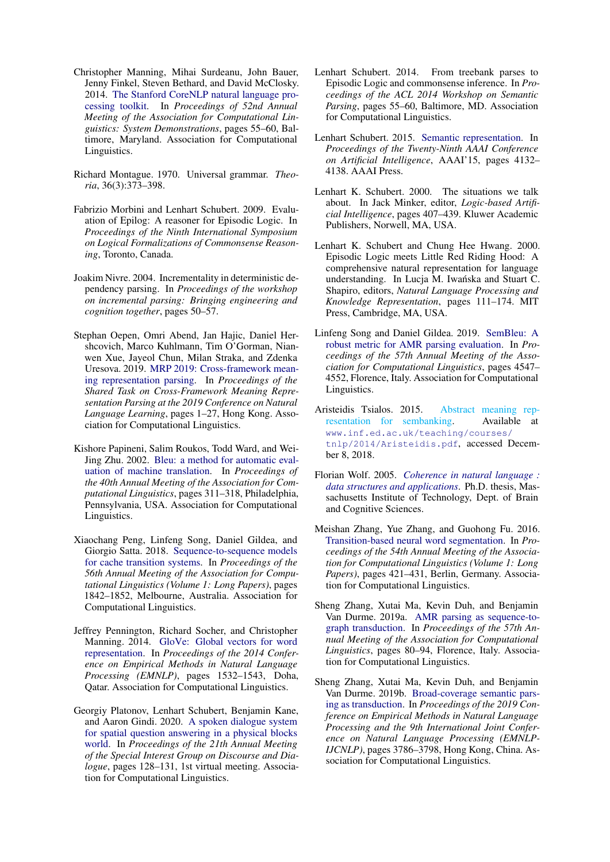- <span id="page-9-15"></span>Christopher Manning, Mihai Surdeanu, John Bauer, Jenny Finkel, Steven Bethard, and David McClosky. 2014. [The Stanford CoreNLP natural language pro](https://doi.org/10.3115/v1/P14-5010)[cessing toolkit.](https://doi.org/10.3115/v1/P14-5010) In *Proceedings of 52nd Annual Meeting of the Association for Computational Linguistics: System Demonstrations*, pages 55–60, Baltimore, Maryland. Association for Computational Linguistics.
- <span id="page-9-6"></span>Richard Montague. 1970. Universal grammar. *Theoria*, 36(3):373–398.
- <span id="page-9-1"></span>Fabrizio Morbini and Lenhart Schubert. 2009. Evaluation of Epilog: A reasoner for Episodic Logic. In *Proceedings of the Ninth International Symposium on Logical Formalizations of Commonsense Reasoning*, Toronto, Canada.
- <span id="page-9-12"></span>Joakim Nivre. 2004. Incrementality in deterministic dependency parsing. In *Proceedings of the workshop on incremental parsing: Bringing engineering and cognition together*, pages 50–57.
- <span id="page-9-7"></span>Stephan Oepen, Omri Abend, Jan Hajic, Daniel Hershcovich, Marco Kuhlmann, Tim O'Gorman, Nianwen Xue, Jayeol Chun, Milan Straka, and Zdenka Uresova. 2019. [MRP 2019: Cross-framework mean](https://doi.org/10.18653/v1/K19-2001)[ing representation parsing.](https://doi.org/10.18653/v1/K19-2001) In *Proceedings of the Shared Task on Cross-Framework Meaning Representation Parsing at the 2019 Conference on Natural Language Learning*, pages 1–27, Hong Kong. Association for Computational Linguistics.
- <span id="page-9-14"></span>Kishore Papineni, Salim Roukos, Todd Ward, and Wei-Jing Zhu. 2002. [Bleu: a method for automatic eval](https://doi.org/10.3115/1073083.1073135)[uation of machine translation.](https://doi.org/10.3115/1073083.1073135) In *Proceedings of the 40th Annual Meeting of the Association for Computational Linguistics*, pages 311–318, Philadelphia, Pennsylvania, USA. Association for Computational Linguistics.
- <span id="page-9-9"></span>Xiaochang Peng, Linfeng Song, Daniel Gildea, and Giorgio Satta. 2018. [Sequence-to-sequence models](https://doi.org/10.18653/v1/P18-1171) [for cache transition systems.](https://doi.org/10.18653/v1/P18-1171) In *Proceedings of the 56th Annual Meeting of the Association for Computational Linguistics (Volume 1: Long Papers)*, pages 1842–1852, Melbourne, Australia. Association for Computational Linguistics.
- <span id="page-9-13"></span>Jeffrey Pennington, Richard Socher, and Christopher Manning. 2014. [GloVe: Global vectors for word](https://doi.org/10.3115/v1/D14-1162) [representation.](https://doi.org/10.3115/v1/D14-1162) In *Proceedings of the 2014 Conference on Empirical Methods in Natural Language Processing (EMNLP)*, pages 1532–1543, Doha, Qatar. Association for Computational Linguistics.
- <span id="page-9-0"></span>Georgiy Platonov, Lenhart Schubert, Benjamin Kane, and Aaron Gindi. 2020. [A spoken dialogue system](https://www.aclweb.org/anthology/2020.sigdial-1.16) [for spatial question answering in a physical blocks](https://www.aclweb.org/anthology/2020.sigdial-1.16) [world.](https://www.aclweb.org/anthology/2020.sigdial-1.16) In *Proceedings of the 21th Annual Meeting of the Special Interest Group on Discourse and Dialogue*, pages 128–131, 1st virtual meeting. Association for Computational Linguistics.
- <span id="page-9-3"></span>Lenhart Schubert. 2014. From treebank parses to Episodic Logic and commonsense inference. In *Proceedings of the ACL 2014 Workshop on Semantic Parsing*, pages 55–60, Baltimore, MD. Association for Computational Linguistics.
- <span id="page-9-8"></span>Lenhart Schubert. 2015. [Semantic representation.](http://dl.acm.org/citation.cfm?id=2888116.2888296) In *Proceedings of the Twenty-Ninth AAAI Conference on Artificial Intelligence*, AAAI'15, pages 4132– 4138. AAAI Press.
- <span id="page-9-5"></span>Lenhart K. Schubert. 2000. The situations we talk about. In Jack Minker, editor, *Logic-based Artificial Intelligence*, pages 407–439. Kluwer Academic Publishers, Norwell, MA, USA.
- <span id="page-9-2"></span>Lenhart K. Schubert and Chung Hee Hwang. 2000. Episodic Logic meets Little Red Riding Hood: A comprehensive natural representation for language understanding. In Lucja M. Iwańska and Stuart C. Shapiro, editors, *Natural Language Processing and Knowledge Representation*, pages 111–174. MIT Press, Cambridge, MA, USA.
- <span id="page-9-4"></span>Linfeng Song and Daniel Gildea. 2019. [SemBleu: A](https://doi.org/10.18653/v1/P19-1446) [robust metric for AMR parsing evaluation.](https://doi.org/10.18653/v1/P19-1446) In *Proceedings of the 57th Annual Meeting of the Association for Computational Linguistics*, pages 4547– 4552, Florence, Italy. Association for Computational Linguistics.
- <span id="page-9-16"></span>Aristeidis Tsialos. 2015. [Abstract meaning rep](#page-0-2)[resentation for sembanking.](#page-0-2) Available at [www.inf.ed.ac.uk/teaching/courses/](www.inf.ed.ac.uk/teaching/courses/tnlp/2014/Aristeidis.pdf) [tnlp/2014/Aristeidis.pdf](www.inf.ed.ac.uk/teaching/courses/tnlp/2014/Aristeidis.pdf), accessed December 8, 2018.
- <span id="page-9-18"></span>Florian Wolf. 2005. *[Coherence in natural language :](https://dspace.mit.edu/handle/1721.1/28854) [data structures and applications](https://dspace.mit.edu/handle/1721.1/28854)*. Ph.D. thesis, Massachusetts Institute of Technology, Dept. of Brain and Cognitive Sciences.
- <span id="page-9-11"></span>Meishan Zhang, Yue Zhang, and Guohong Fu. 2016. [Transition-based neural word segmentation.](https://doi.org/10.18653/v1/P16-1040) In *Proceedings of the 54th Annual Meeting of the Association for Computational Linguistics (Volume 1: Long Papers)*, pages 421–431, Berlin, Germany. Association for Computational Linguistics.
- <span id="page-9-10"></span>Sheng Zhang, Xutai Ma, Kevin Duh, and Benjamin Van Durme. 2019a. [AMR parsing as sequence-to](https://doi.org/10.18653/v1/P19-1009)[graph transduction.](https://doi.org/10.18653/v1/P19-1009) In *Proceedings of the 57th Annual Meeting of the Association for Computational Linguistics*, pages 80–94, Florence, Italy. Association for Computational Linguistics.
- <span id="page-9-17"></span>Sheng Zhang, Xutai Ma, Kevin Duh, and Benjamin Van Durme. 2019b. [Broad-coverage semantic pars](https://doi.org/10.18653/v1/D19-1392)[ing as transduction.](https://doi.org/10.18653/v1/D19-1392) In *Proceedings of the 2019 Conference on Empirical Methods in Natural Language Processing and the 9th International Joint Conference on Natural Language Processing (EMNLP-IJCNLP)*, pages 3786–3798, Hong Kong, China. Association for Computational Linguistics.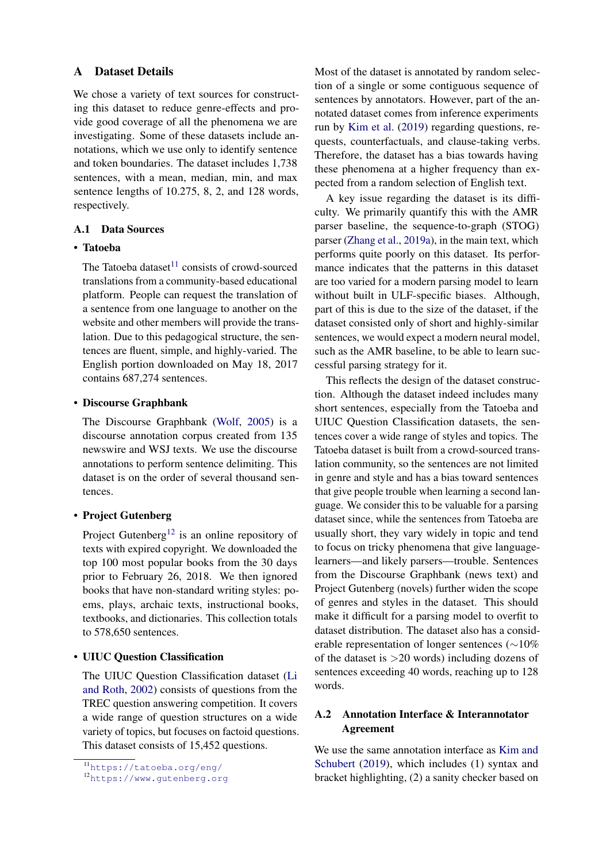#### <span id="page-10-0"></span>A Dataset Details

We chose a variety of text sources for constructing this dataset to reduce genre-effects and provide good coverage of all the phenomena we are investigating. Some of these datasets include annotations, which we use only to identify sentence and token boundaries. The dataset includes 1,738 sentences, with a mean, median, min, and max sentence lengths of 10.275, 8, 2, and 128 words, respectively.

## A.1 Data Sources

#### • Tatoeba

The Tatoeba dataset $11$  consists of crowd-sourced translations from a community-based educational platform. People can request the translation of a sentence from one language to another on the website and other members will provide the translation. Due to this pedagogical structure, the sentences are fluent, simple, and highly-varied. The English portion downloaded on May 18, 2017 contains 687,274 sentences.

#### • Discourse Graphbank

The Discourse Graphbank [\(Wolf,](#page-9-18) [2005\)](#page-9-18) is a discourse annotation corpus created from 135 newswire and WSJ texts. We use the discourse annotations to perform sentence delimiting. This dataset is on the order of several thousand sentences.

## • Project Gutenberg

Project Gutenberg<sup>[12](#page-10-2)</sup> is an online repository of texts with expired copyright. We downloaded the top 100 most popular books from the 30 days prior to February 26, 2018. We then ignored books that have non-standard writing styles: poems, plays, archaic texts, instructional books, textbooks, and dictionaries. This collection totals to 578,650 sentences.

### • UIUC Question Classification

The UIUC Question Classification dataset [\(Li](#page-8-19) [and Roth,](#page-8-19) [2002\)](#page-8-19) consists of questions from the TREC question answering competition. It covers a wide range of question structures on a wide variety of topics, but focuses on factoid questions. This dataset consists of 15,452 questions.

Most of the dataset is annotated by random selection of a single or some contiguous sequence of sentences by annotators. However, part of the annotated dataset comes from inference experiments run by [Kim et al.](#page-8-4) [\(2019\)](#page-8-4) regarding questions, requests, counterfactuals, and clause-taking verbs. Therefore, the dataset has a bias towards having these phenomena at a higher frequency than expected from a random selection of English text.

A key issue regarding the dataset is its difficulty. We primarily quantify this with the AMR parser baseline, the sequence-to-graph (STOG) parser [\(Zhang et al.,](#page-9-10) [2019a\)](#page-9-10), in the main text, which performs quite poorly on this dataset. Its performance indicates that the patterns in this dataset are too varied for a modern parsing model to learn without built in ULF-specific biases. Although, part of this is due to the size of the dataset, if the dataset consisted only of short and highly-similar sentences, we would expect a modern neural model, such as the AMR baseline, to be able to learn successful parsing strategy for it.

This reflects the design of the dataset construction. Although the dataset indeed includes many short sentences, especially from the Tatoeba and UIUC Question Classification datasets, the sentences cover a wide range of styles and topics. The Tatoeba dataset is built from a crowd-sourced translation community, so the sentences are not limited in genre and style and has a bias toward sentences that give people trouble when learning a second language. We consider this to be valuable for a parsing dataset since, while the sentences from Tatoeba are usually short, they vary widely in topic and tend to focus on tricky phenomena that give languagelearners—and likely parsers—trouble. Sentences from the Discourse Graphbank (news text) and Project Gutenberg (novels) further widen the scope of genres and styles in the dataset. This should make it difficult for a parsing model to overfit to dataset distribution. The dataset also has a considerable representation of longer sentences (∼10% of the dataset is  $>20$  words) including dozens of sentences exceeding 40 words, reaching up to 128 words.

# A.2 Annotation Interface & Interannotator Agreement

We use the same annotation interface as [Kim and](#page-8-0) [Schubert](#page-8-0) [\(2019\)](#page-8-0), which includes (1) syntax and bracket highlighting, (2) a sanity checker based on

<span id="page-10-1"></span><sup>11</sup><https://tatoeba.org/eng/>

<span id="page-10-2"></span><sup>12</sup><https://www.gutenberg.org>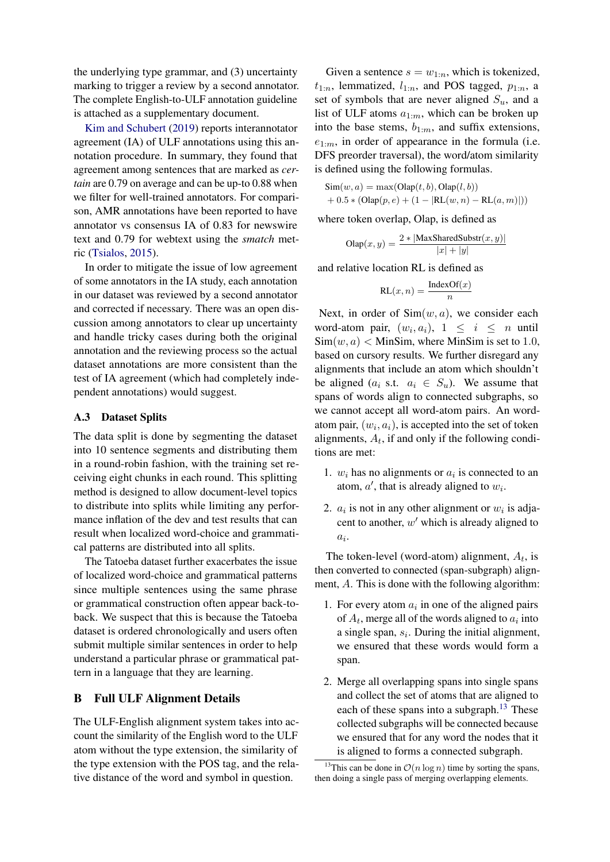the underlying type grammar, and (3) uncertainty marking to trigger a review by a second annotator. The complete English-to-ULF annotation guideline is attached as a supplementary document.

[Kim and Schubert](#page-8-0) [\(2019\)](#page-8-0) reports interannotator agreement (IA) of ULF annotations using this annotation procedure. In summary, they found that agreement among sentences that are marked as *certain* are 0.79 on average and can be up-to 0.88 when we filter for well-trained annotators. For comparison, AMR annotations have been reported to have annotator vs consensus IA of 0.83 for newswire text and 0.79 for webtext using the *smatch* metric [\(Tsialos,](#page-9-16) [2015\)](#page-9-16).

In order to mitigate the issue of low agreement of some annotators in the IA study, each annotation in our dataset was reviewed by a second annotator and corrected if necessary. There was an open discussion among annotators to clear up uncertainty and handle tricky cases during both the original annotation and the reviewing process so the actual dataset annotations are more consistent than the test of IA agreement (which had completely independent annotations) would suggest.

### A.3 Dataset Splits

The data split is done by segmenting the dataset into 10 sentence segments and distributing them in a round-robin fashion, with the training set receiving eight chunks in each round. This splitting method is designed to allow document-level topics to distribute into splits while limiting any performance inflation of the dev and test results that can result when localized word-choice and grammatical patterns are distributed into all splits.

The Tatoeba dataset further exacerbates the issue of localized word-choice and grammatical patterns since multiple sentences using the same phrase or grammatical construction often appear back-toback. We suspect that this is because the Tatoeba dataset is ordered chronologically and users often submit multiple similar sentences in order to help understand a particular phrase or grammatical pattern in a language that they are learning.

## B Full ULF Alignment Details

The ULF-English alignment system takes into account the similarity of the English word to the ULF atom without the type extension, the similarity of the type extension with the POS tag, and the relative distance of the word and symbol in question.

Given a sentence  $s = w_{1:n}$ , which is tokenized,  $t_{1:n}$ , lemmatized,  $l_{1:n}$ , and POS tagged,  $p_{1:n}$ , a set of symbols that are never aligned  $S_u$ , and a list of ULF atoms  $a_{1:m}$ , which can be broken up into the base stems,  $b_{1:m}$ , and suffix extensions,  $e_{1:m}$ , in order of appearance in the formula (i.e. DFS preorder traversal), the word/atom similarity is defined using the following formulas.

$$
Sim(w, a) = max(Olap(t, b), Olap(l, b)) + 0.5 * (Olap(p, e) + (1 - |RL(w, n) - RL(a, m)|))
$$

where token overlap, Olap, is defined as

$$
\text{Olap}(x,y) = \frac{2 * |\text{MaxSharedSubstr}(x,y)|}{|x|+|y|}
$$

and relative location RL is defined as

$$
RL(x, n) = \frac{IndexOf(x)}{n}
$$

Next, in order of  $Sim(w, a)$ , we consider each word-atom pair,  $(w_i, a_i)$ ,  $1 \leq i \leq n$  until  $\text{Sim}(w, a) < \text{MinSim}$ , where MinSim is set to 1.0, based on cursory results. We further disregard any alignments that include an atom which shouldn't be aligned ( $a_i$  s.t.  $a_i \in S_u$ ). We assume that spans of words align to connected subgraphs, so we cannot accept all word-atom pairs. An wordatom pair,  $(w_i, a_i)$ , is accepted into the set of token alignments,  $A_t$ , if and only if the following conditions are met:

- 1.  $w_i$  has no alignments or  $a_i$  is connected to an atom,  $a'$ , that is already aligned to  $w_i$ .
- 2.  $a_i$  is not in any other alignment or  $w_i$  is adjacent to another,  $w'$  which is already aligned to  $a_i$ .

The token-level (word-atom) alignment,  $A_t$ , is then converted to connected (span-subgraph) alignment, A. This is done with the following algorithm:

- 1. For every atom  $a_i$  in one of the aligned pairs of  $A_t$ , merge all of the words aligned to  $a_i$  into a single span,  $s_i$ . During the initial alignment, we ensured that these words would form a span.
- 2. Merge all overlapping spans into single spans and collect the set of atoms that are aligned to each of these spans into a subgraph. $13$  These collected subgraphs will be connected because we ensured that for any word the nodes that it is aligned to forms a connected subgraph.

<span id="page-11-0"></span><sup>&</sup>lt;sup>13</sup>This can be done in  $\mathcal{O}(n \log n)$  time by sorting the spans, then doing a single pass of merging overlapping elements.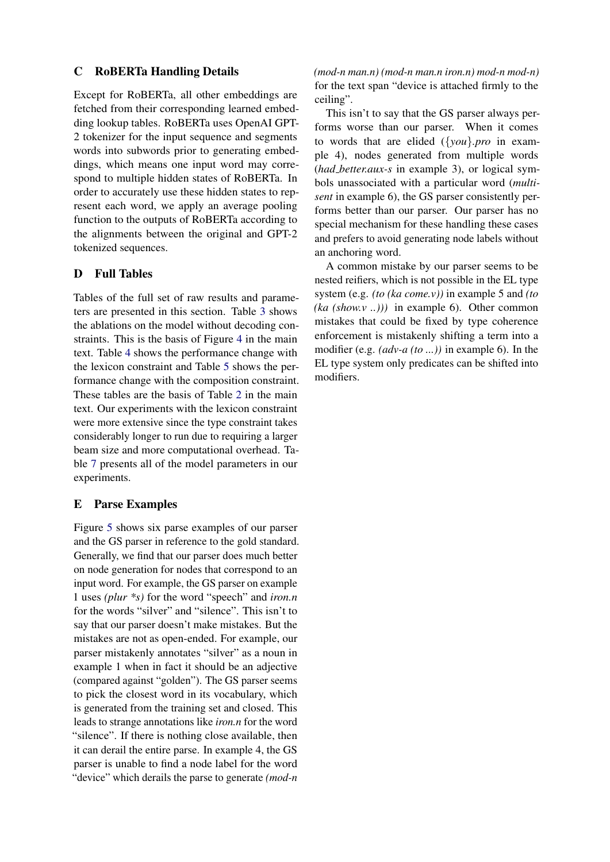# C RoBERTa Handling Details

Except for RoBERTa, all other embeddings are fetched from their corresponding learned embedding lookup tables. RoBERTa uses OpenAI GPT-2 tokenizer for the input sequence and segments words into subwords prior to generating embeddings, which means one input word may correspond to multiple hidden states of RoBERTa. In order to accurately use these hidden states to represent each word, we apply an average pooling function to the outputs of RoBERTa according to the alignments between the original and GPT-2 tokenized sequences.

# <span id="page-12-0"></span>D Full Tables

Tables of the full set of raw results and parameters are presented in this section. Table [3](#page-13-0) shows the ablations on the model without decoding con-straints. This is the basis of Figure [4](#page-6-2) in the main text. Table [4](#page-13-1) shows the performance change with the lexicon constraint and Table [5](#page-13-2) shows the performance change with the composition constraint. These tables are the basis of Table [2](#page-7-2) in the main text. Our experiments with the lexicon constraint were more extensive since the type constraint takes considerably longer to run due to requiring a larger beam size and more computational overhead. Table [7](#page-14-0) presents all of the model parameters in our experiments.

## <span id="page-12-1"></span>E Parse Examples

Figure [5](#page-15-0) shows six parse examples of our parser and the GS parser in reference to the gold standard. Generally, we find that our parser does much better on node generation for nodes that correspond to an input word. For example, the GS parser on example 1 uses *(plur \*s)* for the word "speech" and *iron.n* for the words "silver" and "silence". This isn't to say that our parser doesn't make mistakes. But the mistakes are not as open-ended. For example, our parser mistakenly annotates "silver" as a noun in example 1 when in fact it should be an adjective (compared against "golden"). The GS parser seems to pick the closest word in its vocabulary, which is generated from the training set and closed. This leads to strange annotations like *iron.n* for the word "silence". If there is nothing close available, then it can derail the entire parse. In example 4, the GS parser is unable to find a node label for the word "device" which derails the parse to generate *(mod-n*

*(mod-n man.n) (mod-n man.n iron.n) mod-n mod-n)* for the text span "device is attached firmly to the ceiling".

This isn't to say that the GS parser always performs worse than our parser. When it comes to words that are elided ({*you*}*.pro* in example 4), nodes generated from multiple words (*had better.aux-s* in example 3), or logical symbols unassociated with a particular word (*multisent* in example 6), the GS parser consistently performs better than our parser. Our parser has no special mechanism for these handling these cases and prefers to avoid generating node labels without an anchoring word.

A common mistake by our parser seems to be nested reifiers, which is not possible in the EL type system (e.g. *(to (ka come.v))* in example 5 and *(to (ka (show.v ..)))* in example 6). Other common mistakes that could be fixed by type coherence enforcement is mistakenly shifting a term into a modifier (e.g. *(adv-a (to ...))* in example 6). In the EL type system only predicates can be shifted into modifiers.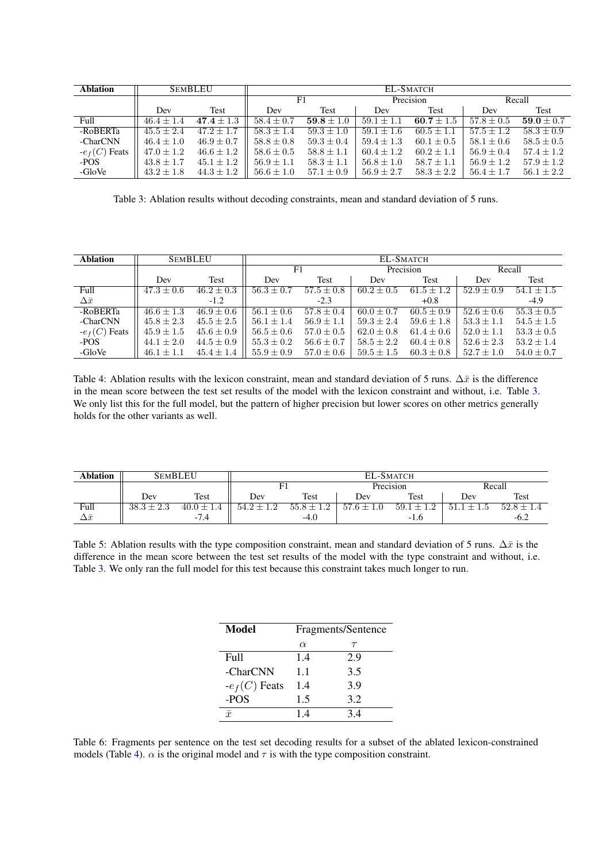<span id="page-13-0"></span>

| <b>Ablation</b> |                | <b>SEMBLEU</b> |                | EL-SMATCH      |                |                |                |                |
|-----------------|----------------|----------------|----------------|----------------|----------------|----------------|----------------|----------------|
|                 |                |                | F1             |                | Precision      |                | Recall         |                |
|                 | Dev            | Test           | Dev            | Test           | Dev            | Test           | Dev            | Test           |
| Full            | $46.4 + 1.4$   | $47.4 \pm 1.3$ | $58.4 \pm 0.7$ | $59.8 \pm 1.0$ | $59.1 + 1$     | 60.7 $\pm 1.5$ | $57.8 \pm 0.5$ | 59.0 $\pm$ 0.7 |
| -RoBERTa        | $45.5 \pm 2.4$ | $47.2 \pm 1.7$ | $58.3 \pm 1.4$ | $59.3 \pm 1.0$ | $59.1 \pm 1.6$ | $60.5 \pm 1.1$ | $57.5 \pm 1.2$ | $58.3 \pm 0.9$ |
| -CharCNN        | $46.4 \pm 1.0$ | $46.9 \pm 0.7$ | $58.8 \pm 0.8$ | $59.3 \pm 0.4$ | $59.4 \pm 1.3$ | $60.1 \pm 0.5$ | $58.1 \pm 0.6$ | $58.5 \pm 0.5$ |
| $-e_f(C)$ Feats | $47.0 \pm 1.2$ | $46.6 \pm 1.2$ | $58.6 \pm 0.5$ | $58.8 \pm 1.1$ | $60.4 \pm 1.2$ | $60.2 \pm 1.1$ | $56.9 \pm 0.4$ | $57.4 \pm 1.2$ |
| -POS            | $43.8 \pm 1.7$ | $45.1 \pm 1.2$ | $56.9 \pm 1.1$ | $58.3 \pm 1.1$ | $56.8 \pm 1.0$ | $58.7 \pm 1.1$ | $56.9 \pm 1.2$ | $57.9 \pm 1.2$ |
| -GloVe          | $43.2 \pm 1.8$ | $44.3 \pm 1.2$ | $56.6 \pm 1.0$ | $57.1 \pm 0.9$ | $56.9 \pm 2.7$ | $58.3 \pm 2.2$ | $56.4 \pm 1.7$ | $56.1 \pm 2.2$ |

Table 3: Ablation results without decoding constraints, mean and standard deviation of 5 runs.

<span id="page-13-1"></span>

| <b>Ablation</b>  |                | <b>SEMBLEU</b> |                | EL-SMATCH      |                |                |                |                |
|------------------|----------------|----------------|----------------|----------------|----------------|----------------|----------------|----------------|
|                  |                |                |                | F1             | Precision      |                | Recall         |                |
|                  | Dev            | Test           | Dev            | Test           | Dev            | Test           | Dev            | Test           |
| Full             | $47.3 \pm 0.6$ | $46.2 \pm 0.3$ | $56.3 \pm 0.7$ | $57.5 \pm 0.8$ | $60.2 + 0.5$   | $61.5 \pm 1.2$ | $52.9 + 0.9$   | $54.1 + 1.5$   |
| $\Delta \bar{x}$ |                | $-1.2$         |                | $-2.3$         |                | $+0.8$         |                | $-4.9$         |
| -RoBERTa         | $46.6 \pm 1.3$ | $46.9 \pm 0.6$ | $56.1 \pm 0.6$ | $57.8 \pm 0.4$ | $60.0 \pm 0.7$ | $60.5 \pm 0.9$ | $52.6 \pm 0.6$ | $55.3 \pm 0.5$ |
| -CharCNN         | $45.8 \pm 2.3$ | $45.5 \pm 2.5$ | $56.1 + 1.4$   | $56.9 \pm 1.1$ | $59.3 \pm 2.4$ | $59.6 \pm 1.8$ | $53.3 \pm 1.1$ | $54.5 \pm 1.5$ |
| $-e_f(C)$ Feats  | $45.9 \pm 1.5$ | $45.6 \pm 0.9$ | $56.5 \pm 0.6$ | $57.0 \pm 0.5$ | $62.0 \pm 0.8$ | $61.4 \pm 0.6$ | $52.0 \pm 1.1$ | $53.3 \pm 0.5$ |
| -POS             | $44.1 \pm 2.0$ | $44.5 \pm 0.9$ | $55.3 \pm 0.2$ | $56.6 \pm 0.7$ | $58.5 \pm 2.2$ | $60.4 \pm 0.8$ | $52.6 \pm 2.3$ | $53.2 \pm 1.4$ |
| -GloVe           | $46.1 \pm 1.1$ | $45.4 \pm 1.4$ | $55.9 \pm 0.9$ | $57.0 \pm 0.6$ | $59.5 \pm 1.5$ | $60.3 \pm 0.8$ | $52.7 \pm 1.0$ | $54.0 \pm 0.7$ |

Table 4: Ablation results with the lexicon constraint, mean and standard deviation of 5 runs.  $\Delta \bar{x}$  is the difference in the mean score between the test set results of the model with the lexicon constraint and without, i.e. Table [3.](#page-13-0) We only list this for the full model, but the pattern of higher precision but lower scores on other metrics generally holds for the other variants as well.

<span id="page-13-2"></span>

| Ablation        |                | <b>SEMBLEU</b> | EL-SMATCH      |                |                |                |        |                |
|-----------------|----------------|----------------|----------------|----------------|----------------|----------------|--------|----------------|
|                 |                |                |                |                | Precision      |                | Recall |                |
|                 | Dev            | Test           | Dev            | Test           | Dev            | Test           | Dev    | Test           |
| Full            | $38.3 \pm 2.3$ | $40.0 \pm 1.4$ | $54.2 \pm 1.2$ | $55.8 \pm 1.2$ | $57.6 \pm 1.0$ | $59.1 \pm 1.2$ | 51.1   | $52.8 \pm 1.4$ |
| $\Delta \bar x$ |                | $-7.4$         |                | $-4.0$         |                | -1.0           |        | $-6.2$         |

Table 5: Ablation results with the type composition constraint, mean and standard deviation of 5 runs.  $\Delta \bar{x}$  is the difference in the mean score between the test set results of the model with the type constraint and without, i.e. Table [3.](#page-13-0) We only ran the full model for this test because this constraint takes much longer to run.

| Model           |          | Fragments/Sentence |
|-----------------|----------|--------------------|
|                 | $\alpha$ | $\tau$             |
| Full            | 1.4      | 2.9                |
| -CharCNN        | 1.1      | 3.5                |
| $-e_f(C)$ Feats | 1.4      | 3.9                |
| -POS            | 1.5      | 3.2                |
| $\bar{x}$       | 14       | 34                 |

Table 6: Fragments per sentence on the test set decoding results for a subset of the ablated lexicon-constrained models (Table [4\)](#page-13-1).  $\alpha$  is the original model and  $\tau$  is with the type composition constraint.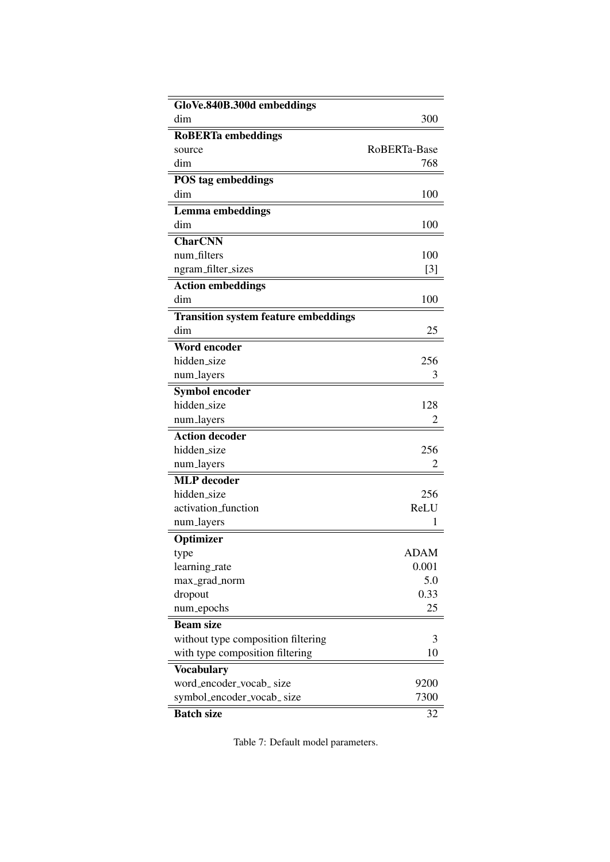<span id="page-14-0"></span>

| GloVe.840B.300d embeddings<br>dim           | 300            |
|---------------------------------------------|----------------|
| <b>RoBERTa</b> embeddings                   |                |
| source                                      | RoBERTa-Base   |
| dim                                         | 768            |
|                                             |                |
| POS tag embeddings<br>dim                   | 100            |
|                                             |                |
| <b>Lemma</b> embeddings<br>dim              | 100            |
|                                             |                |
| <b>CharCNN</b>                              |                |
| num_filters                                 | 100            |
| ngram_filter_sizes                          | $[3]$          |
| <b>Action embeddings</b>                    |                |
| dim                                         | 100            |
| <b>Transition system feature embeddings</b> |                |
| dim                                         | 25             |
| <b>Word encoder</b>                         |                |
| hidden_size                                 | 256            |
| num_layers                                  | 3              |
| <b>Symbol encoder</b>                       |                |
| hidden_size                                 | 128            |
| num_layers                                  | $\overline{c}$ |
| <b>Action decoder</b>                       |                |
| hidden_size                                 | 256            |
| num_layers                                  | 2              |
| <b>MLP</b> decoder                          |                |
| hidden_size                                 | 256            |
| activation_function                         | ReLU           |
| num_layers                                  |                |
| Optimizer                                   |                |
| type                                        | ADAM           |
| learning_rate                               | 0.001          |
| max_grad_norm                               | 5.0            |
| dropout                                     | 0.33           |
| num_epochs                                  | 25             |
| <b>Beam size</b>                            |                |
| without type composition filtering          | 3              |
| with type composition filtering             | 10             |
| <b>Vocabulary</b>                           |                |
| word_encoder_vocab_size                     | 9200           |
| symbol_encoder_vocab_ size                  | 7300           |
| <b>Batch size</b>                           | 32             |

Table 7: Default model parameters.